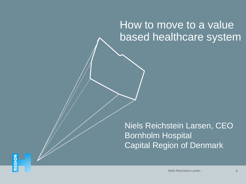# How to move to a value based healthcare system

Niels Reichstein Larsen, CEO Bornholm Hospital Capital Region of Denmark

Niels Reichstein Larsen **1**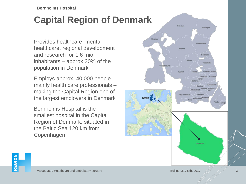**Bornholms Hospital**

## **Capital Region of Denmark**

Provides healthcare, mental healthcare, regional development and research for 1.6 mio. inhabitants – approx 30% of the population in Denmark

Employs approx. 40.000 people – mainly health care professionals – making the Capital Region one of the largest employers in Denmark

Bornholms Hospital is the smallest hospital in the Capital Region of Denmark, situated in the Baltic Sea 120 km from Copenhagen.



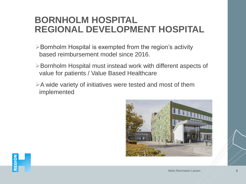## **BORNHOLM HOSPITAL REGIONAL DEVELOPMENT HOSPITAL**

- $\triangleright$  Bornholm Hospital is exempted from the region's activity based reimbursement model since 2016.
- Bornholm Hospital must instead work with different aspects of value for patients / Value Based Healthcare
- $\triangleright$  A wide variety of initiatives were tested and most of them implemented



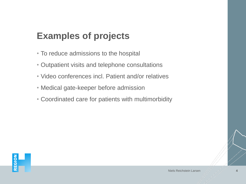# **Examples of projects**

- To reduce admissions to the hospital
- Outpatient visits and telephone consultations
- Video conferences incl. Patient and/or relatives
- Medical gate-keeper before admission
- Coordinated care for patients with multimorbidity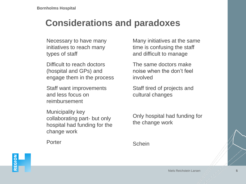## **Considerations and paradoxes**

Necessary to have many initiatives to reach many types of staff

Difficult to reach doctors (hospital and GPs) and engage them in the process

Staff want improvements and less focus on reimbursement

Municipality key collaborating part- but only hospital had funding for the change work

Many initiatives at the same time is confusing the staff and difficult to manage

The same doctors make noise when the don't feel involved

Staff tired of projects and cultural changes

Only hospital had funding for the change work

Porter

REGION

**Schein** 

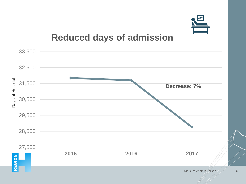

## **Reduced days of admission**

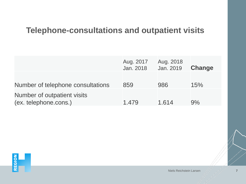## **Telephone-consultations and outpatient visits**

|                                                      | Aug. 2017<br>Jan. 2018 | Aug. 2018<br>Jan. 2019 | <b>Change</b> |
|------------------------------------------------------|------------------------|------------------------|---------------|
| Number of telephone consultations                    | 859                    | 986                    | 15%           |
| Number of outpatient visits<br>(ex. telephone.cons.) | 1.479                  | 1.614                  | 9%            |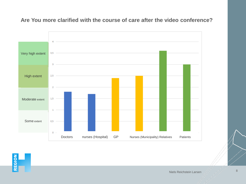

### **Are You more clarified with the course of care after the video conference?**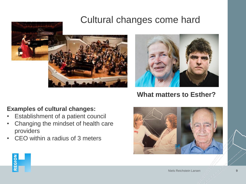## Cultural changes come hard



### **Examples of cultural changes:**

- Establishment of a patient council
- Changing the mindset of health care providers
- CEO within a radius of 3 meters



## **What matters to Esther?**



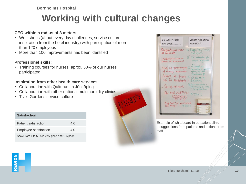**Bornholms Hospital**

# **Working with cultural changes**

### **CEO within a radius of 3 meters:**

- Workshops (about every day challenges, service culture, inspiration from the hotel industry) with participation of more than 120 employees
- More than 100 improvements has been identified

### **Professionel skills**:

• Training courses for nurses: aprox. 50% of our nurses participated

### **Inspiration from other health care services**:

- Collaboration with Qulturum in Jönköping
- Collaboration with other national multimorbidity clinics
- Tivoli Gardens service culture

| <b>Satisfaction</b>                              |     |
|--------------------------------------------------|-----|
| Patient satisfaction                             | 4.6 |
| Employee satisfaction                            | 4.0 |
| Scale from 1 to 5: 5 is very good and 1 is poor. |     |



| <b>DU SOM PATIENT</b><br><b>HAR SAGT</b>                 | <b>VI SOM PERSONALE</b><br><b>HAR GJORT</b>                     |
|----------------------------------------------------------|-----------------------------------------------------------------|
| Kaffeautomal svær<br>at auvende                          | 1/2 Kaffe/ The / vand<br>sat from.                              |
| Indkaldelxsbreve<br>suare at gennemskve                  | 1/2 Ul arbejder pa<br>sagen regionalt                           |
| of mange mennesker                                       | Stej og gennungaug / forsegt at<br>gaug af ildd                 |
| Swart at finde 1/2 Vi ser pa ny<br>vej til Ambilatorie 1 | tentence pt<br>Skiltning                                        |
| - Varligt net værk                                       | by Der er hastigheds -<br>begraming px 5Mb<br>L'yo ag download. |
| TAK FOR KOTFEN 13/ TAK :                                 |                                                                 |
| Fontastisk personale<br>SR Engli                         |                                                                 |
|                                                          |                                                                 |

Example of whiteboard in outpatient clinic – suggestions from patients and actions from staff